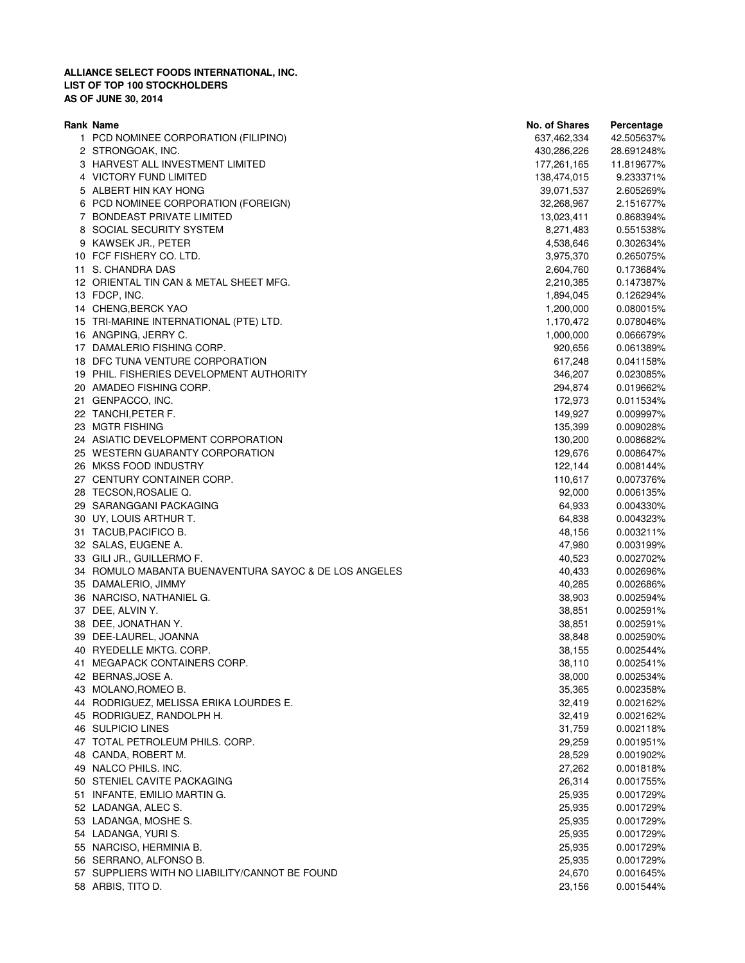| Rank Name                                             | No. of Shares | Percentage |
|-------------------------------------------------------|---------------|------------|
| 1 PCD NOMINEE CORPORATION (FILIPINO)                  | 637,462,334   | 42.505637% |
| 2 STRONGOAK, INC.                                     | 430,286,226   | 28.691248% |
| 3 HARVEST ALL INVESTMENT LIMITED                      | 177,261,165   | 11.819677% |
| 4 VICTORY FUND LIMITED                                | 138,474,015   | 9.233371%  |
| 5 ALBERT HIN KAY HONG                                 | 39,071,537    | 2.605269%  |
| 6 PCD NOMINEE CORPORATION (FOREIGN)                   | 32,268,967    | 2.151677%  |
| 7 BONDEAST PRIVATE LIMITED                            | 13,023,411    | 0.868394%  |
| 8 SOCIAL SECURITY SYSTEM                              | 8,271,483     | 0.551538%  |
| 9 KAWSEK JR., PETER                                   | 4,538,646     | 0.302634%  |
| 10 FCF FISHERY CO. LTD.                               | 3,975,370     | 0.265075%  |
| 11 S. CHANDRA DAS                                     | 2,604,760     | 0.173684%  |
| 12 ORIENTAL TIN CAN & METAL SHEET MFG.                | 2,210,385     | 0.147387%  |
| 13 FDCP, INC.                                         | 1,894,045     | 0.126294%  |
| 14 CHENG, BERCK YAO                                   | 1,200,000     | 0.080015%  |
|                                                       |               |            |
| 15 TRI-MARINE INTERNATIONAL (PTE) LTD.                | 1,170,472     | 0.078046%  |
| 16 ANGPING, JERRY C.                                  | 1,000,000     | 0.066679%  |
| 17 DAMALERIO FISHING CORP.                            | 920,656       | 0.061389%  |
| 18 DFC TUNA VENTURE CORPORATION                       | 617,248       | 0.041158%  |
| 19 PHIL. FISHERIES DEVELOPMENT AUTHORITY              | 346,207       | 0.023085%  |
| 20 AMADEO FISHING CORP.                               | 294,874       | 0.019662%  |
| 21 GENPACCO, INC.                                     | 172,973       | 0.011534%  |
| 22 TANCHI, PETER F.                                   | 149,927       | 0.009997%  |
| 23 MGTR FISHING                                       | 135,399       | 0.009028%  |
| 24 ASIATIC DEVELOPMENT CORPORATION                    | 130,200       | 0.008682%  |
| 25 WESTERN GUARANTY CORPORATION                       | 129,676       | 0.008647%  |
| 26 MKSS FOOD INDUSTRY                                 | 122,144       | 0.008144%  |
| 27 CENTURY CONTAINER CORP.                            | 110,617       | 0.007376%  |
| 28 TECSON, ROSALIE Q.                                 | 92,000        | 0.006135%  |
| 29 SARANGGANI PACKAGING                               | 64,933        | 0.004330%  |
| 30 UY, LOUIS ARTHUR T.                                | 64,838        | 0.004323%  |
| 31 TACUB, PACIFICO B.                                 | 48,156        | 0.003211%  |
| 32 SALAS, EUGENE A.                                   | 47,980        | 0.003199%  |
| 33 GILI JR., GUILLERMO F.                             | 40,523        | 0.002702%  |
| 34 ROMULO MABANTA BUENAVENTURA SAYOC & DE LOS ANGELES | 40,433        | 0.002696%  |
| 35 DAMALERIO, JIMMY                                   | 40,285        | 0.002686%  |
| 36 NARCISO, NATHANIEL G.                              | 38,903        | 0.002594%  |
| 37 DEE, ALVIN Y.                                      | 38,851        | 0.002591%  |
| 38 DEE, JONATHAN Y.                                   | 38,851        | 0.002591%  |
| 39 DEE-LAUREL, JOANNA                                 | 38,848        | 0.002590%  |
| 40 RYEDELLE MKTG. CORP.                               | 38,155        | 0.002544%  |
| 41 MEGAPACK CONTAINERS CORP.                          | 38,110        | 0.002541%  |
| 42 BERNAS, JOSE A.                                    | 38,000        | 0.002534%  |
| 43 MOLANO, ROMEO B.                                   | 35,365        | 0.002358%  |
|                                                       |               |            |
| 44 RODRIGUEZ, MELISSA ERIKA LOURDES E.                | 32,419        | 0.002162%  |
| 45 RODRIGUEZ, RANDOLPH H.                             | 32,419        | 0.002162%  |
| 46 SULPICIO LINES                                     | 31,759        | 0.002118%  |
| 47 TOTAL PETROLEUM PHILS. CORP.                       | 29,259        | 0.001951%  |
| 48 CANDA, ROBERT M.                                   | 28,529        | 0.001902%  |
| 49 NALCO PHILS. INC.                                  | 27,262        | 0.001818%  |
| 50 STENIEL CAVITE PACKAGING                           | 26,314        | 0.001755%  |
| 51 INFANTE, EMILIO MARTIN G.                          | 25,935        | 0.001729%  |
| 52 LADANGA, ALEC S.                                   | 25,935        | 0.001729%  |
| 53 LADANGA, MOSHE S.                                  | 25,935        | 0.001729%  |
| 54 LADANGA, YURI S.                                   | 25,935        | 0.001729%  |
| 55 NARCISO, HERMINIA B.                               | 25,935        | 0.001729%  |
| 56 SERRANO, ALFONSO B.                                | 25,935        | 0.001729%  |
| 57 SUPPLIERS WITH NO LIABILITY/CANNOT BE FOUND        | 24,670        | 0.001645%  |
| 58 ARBIS, TITO D.                                     | 23,156        | 0.001544%  |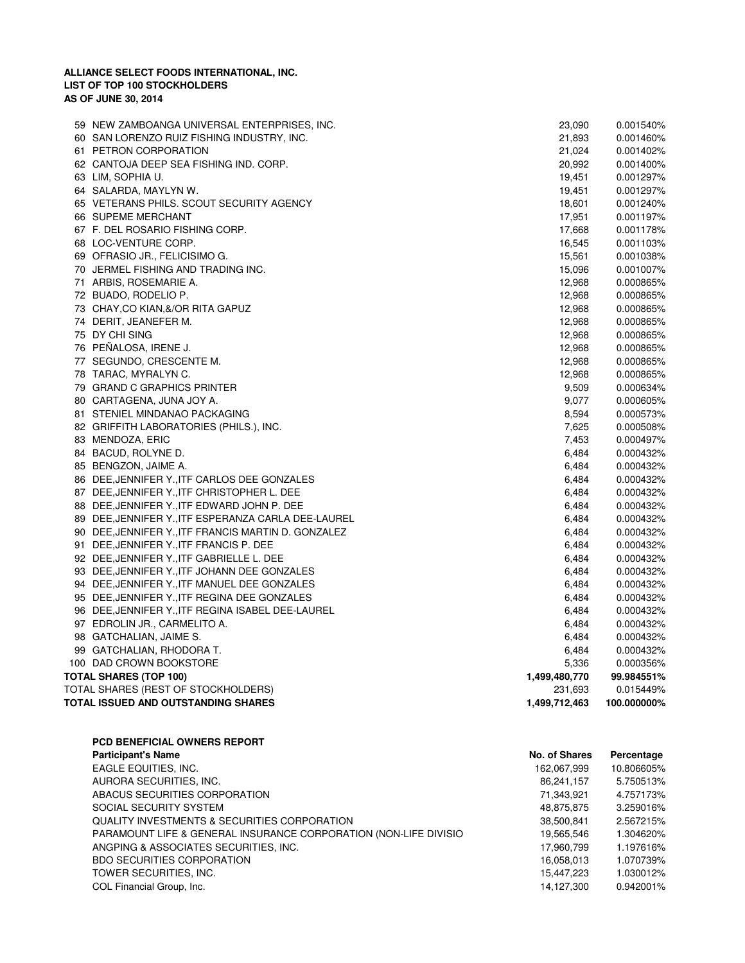|                        | 59 NEW ZAMBOANGA UNIVERSAL ENTERPRISES, INC.        | 23,090        | 0.001540%   |
|------------------------|-----------------------------------------------------|---------------|-------------|
|                        | 60 SAN LORENZO RUIZ FISHING INDUSTRY, INC.          | 21,893        | 0.001460%   |
|                        | 61 PETRON CORPORATION                               | 21,024        | 0.001402%   |
|                        | 62 CANTOJA DEEP SEA FISHING IND. CORP.              | 20,992        | 0.001400%   |
|                        | 63 LIM, SOPHIA U.                                   | 19,451        | 0.001297%   |
|                        | 64 SALARDA, MAYLYN W.                               | 19,451        | 0.001297%   |
|                        | 65 VETERANS PHILS. SCOUT SECURITY AGENCY            | 18,601        | 0.001240%   |
|                        | 66 SUPEME MERCHANT                                  | 17,951        | 0.001197%   |
|                        | 67 F. DEL ROSARIO FISHING CORP.                     | 17,668        | 0.001178%   |
|                        | 68 LOC-VENTURE CORP.                                | 16,545        | 0.001103%   |
|                        | 69 OFRASIO JR., FELICISIMO G.                       | 15,561        | 0.001038%   |
|                        | 70 JERMEL FISHING AND TRADING INC.                  | 15,096        | 0.001007%   |
|                        | 71 ARBIS, ROSEMARIE A.                              | 12,968        | 0.000865%   |
|                        | 72 BUADO, RODELIO P.                                | 12,968        | 0.000865%   |
|                        | 73 CHAY, CO KIAN, &/ OR RITA GAPUZ                  | 12,968        | 0.000865%   |
|                        | 74 DERIT, JEANEFER M.                               | 12,968        | 0.000865%   |
|                        | 75 DY CHI SING                                      | 12,968        | 0.000865%   |
|                        | 76 PEÑALOSA, IRENE J.                               | 12,968        | 0.000865%   |
|                        | 77 SEGUNDO, CRESCENTE M.                            | 12,968        | 0.000865%   |
|                        | 78 TARAC, MYRALYN C.                                | 12,968        | 0.000865%   |
|                        | 79 GRAND C GRAPHICS PRINTER                         | 9,509         | 0.000634%   |
|                        | 80 CARTAGENA, JUNA JOY A.                           | 9,077         | 0.000605%   |
|                        | 81 STENIEL MINDANAO PACKAGING                       | 8,594         | 0.000573%   |
|                        | 82 GRIFFITH LABORATORIES (PHILS.), INC.             | 7,625         | 0.000508%   |
|                        | 83 MENDOZA, ERIC                                    | 7,453         | 0.000497%   |
|                        | 84 BACUD, ROLYNE D.                                 | 6,484         | 0.000432%   |
|                        | 85 BENGZON, JAIME A.                                | 6,484         | 0.000432%   |
|                        | 86 DEE, JENNIFER Y., ITF CARLOS DEE GONZALES        | 6,484         | 0.000432%   |
|                        | 87 DEE, JENNIFER Y., ITF CHRISTOPHER L. DEE         | 6,484         | 0.000432%   |
|                        | 88 DEE, JENNIFER Y., ITF EDWARD JOHN P. DEE         | 6,484         | 0.000432%   |
|                        | 89 DEE, JENNIFER Y., ITF ESPERANZA CARLA DEE-LAUREL | 6,484         | 0.000432%   |
|                        | 90 DEE, JENNIFER Y., ITF FRANCIS MARTIN D. GONZALEZ | 6,484         | 0.000432%   |
|                        | 91 DEE, JENNIFER Y., ITF FRANCIS P. DEE             | 6,484         | 0.000432%   |
|                        | 92 DEE, JENNIFER Y., ITF GABRIELLE L. DEE           | 6,484         | 0.000432%   |
|                        | 93 DEE, JENNIFER Y., ITF JOHANN DEE GONZALES        | 6,484         | 0.000432%   |
|                        | 94 DEE, JENNIFER Y., ITF MANUEL DEE GONZALES        | 6,484         | 0.000432%   |
|                        | 95 DEE, JENNIFER Y., ITF REGINA DEE GONZALES        | 6,484         | 0.000432%   |
|                        | 96 DEE, JENNIFER Y., ITF REGINA ISABEL DEE-LAUREL   | 6,484         | 0.000432%   |
|                        | 97 EDROLIN JR., CARMELITO A.                        | 6,484         | 0.000432%   |
|                        | 98 GATCHALIAN, JAIME S.                             | 6,484         | 0.000432%   |
|                        | 99 GATCHALIAN, RHODORA T.                           | 6,484         | 0.000432%   |
|                        | 100 DAD CROWN BOOKSTORE                             | 5,336         | 0.000356%   |
| TOTAL SHARES (TOP 100) |                                                     | 1,499,480,770 | 99.984551%  |
|                        | TOTAL SHARES (REST OF STOCKHOLDERS)                 | 231,693       | 0.015449%   |
|                        | TOTAL ISSUED AND OUTSTANDING SHARES                 | 1,499,712,463 | 100.000000% |
|                        |                                                     |               |             |

**PCD BENEFICIAL OWNERS REPORT Participant's Name No. of Shares Percentage**  EAGLE EQUITIES, INC. 2012 162,067,999 10.806605% AURORA SECURITIES, INC. 6.750513% 86,241,157 8.750513% ABACUS SECURITIES CORPORATION 6 1000 1000 1000 21,343,921 4.757173% SOCIAL SECURITY SYSTEM 3.259016% 48,875,875 3.259016% QUALITY INVESTMENTS & SECURITIES CORPORATION **2000 12000 12000 12000 12000 138,500,841** 2.567215% PARAMOUNT LIFE & GENERAL INSURANCE CORPORATION (NON-LIFE DIVISIO 19,565,546 1.304620% ANGPING & ASSOCIATES SECURITIES, INC. 1.197616% 17,960,799 1.197616% BDO SECURITIES CORPORATION **1.070739%** 1.070739% TOWER SECURITIES, INC. 1.030012% 15,447,223 1.030012% COL Financial Group, Inc. 2008 12:00 12:00 12:00 14,127,300 1.942001% 14,127,300 1.942001%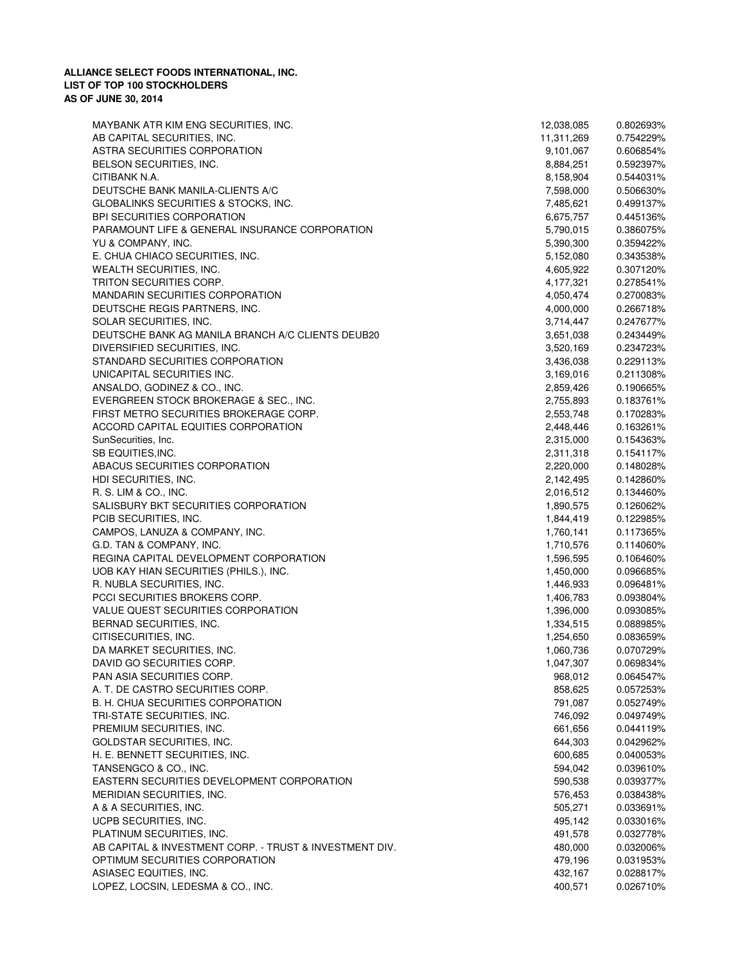| MAYBANK ATR KIM ENG SECURITIES, INC.                    | 12,038,085 | 0.802693% |
|---------------------------------------------------------|------------|-----------|
| AB CAPITAL SECURITIES, INC.                             | 11,311,269 | 0.754229% |
| ASTRA SECURITIES CORPORATION                            | 9,101,067  | 0.606854% |
| BELSON SECURITIES, INC.                                 | 8,884,251  | 0.592397% |
| CITIBANK N.A.                                           | 8,158,904  | 0.544031% |
| DEUTSCHE BANK MANILA-CLIENTS A/C                        | 7,598,000  | 0.506630% |
| GLOBALINKS SECURITIES & STOCKS, INC.                    | 7,485,621  | 0.499137% |
| BPI SECURITIES CORPORATION                              | 6,675,757  | 0.445136% |
| PARAMOUNT LIFE & GENERAL INSURANCE CORPORATION          | 5,790,015  | 0.386075% |
| YU & COMPANY, INC.                                      | 5,390,300  | 0.359422% |
| E. CHUA CHIACO SECURITIES, INC.                         | 5,152,080  | 0.343538% |
| WEALTH SECURITIES, INC.                                 | 4,605,922  | 0.307120% |
| TRITON SECURITIES CORP.                                 | 4,177,321  | 0.278541% |
| <b>MANDARIN SECURITIES CORPORATION</b>                  | 4,050,474  | 0.270083% |
| DEUTSCHE REGIS PARTNERS, INC.                           | 4,000,000  | 0.266718% |
| SOLAR SECURITIES, INC.                                  | 3,714,447  | 0.247677% |
| DEUTSCHE BANK AG MANILA BRANCH A/C CLIENTS DEUB20       | 3,651,038  | 0.243449% |
| DIVERSIFIED SECURITIES, INC.                            | 3,520,169  | 0.234723% |
| STANDARD SECURITIES CORPORATION                         |            |           |
|                                                         | 3,436,038  | 0.229113% |
| UNICAPITAL SECURITIES INC.                              | 3,169,016  | 0.211308% |
| ANSALDO, GODINEZ & CO., INC.                            | 2,859,426  | 0.190665% |
| EVERGREEN STOCK BROKERAGE & SEC., INC.                  | 2,755,893  | 0.183761% |
| FIRST METRO SECURITIES BROKERAGE CORP.                  | 2,553,748  | 0.170283% |
| ACCORD CAPITAL EQUITIES CORPORATION                     | 2,448,446  | 0.163261% |
| SunSecurities, Inc.                                     | 2,315,000  | 0.154363% |
| SB EQUITIES, INC.                                       | 2,311,318  | 0.154117% |
| ABACUS SECURITIES CORPORATION                           | 2,220,000  | 0.148028% |
| HDI SECURITIES, INC.                                    | 2,142,495  | 0.142860% |
| R. S. LIM & CO., INC.                                   | 2,016,512  | 0.134460% |
| SALISBURY BKT SECURITIES CORPORATION                    | 1,890,575  | 0.126062% |
| PCIB SECURITIES, INC.                                   | 1,844,419  | 0.122985% |
| CAMPOS, LANUZA & COMPANY, INC.                          | 1,760,141  | 0.117365% |
| G.D. TAN & COMPANY, INC.                                | 1,710,576  | 0.114060% |
| REGINA CAPITAL DEVELOPMENT CORPORATION                  | 1,596,595  | 0.106460% |
| UOB KAY HIAN SECURITIES (PHILS.), INC.                  | 1,450,000  | 0.096685% |
| R. NUBLA SECURITIES, INC.                               | 1,446,933  | 0.096481% |
|                                                         | 1,406,783  |           |
| PCCI SECURITIES BROKERS CORP.                           |            | 0.093804% |
| VALUE QUEST SECURITIES CORPORATION                      | 1,396,000  | 0.093085% |
| BERNAD SECURITIES, INC.                                 | 1,334,515  | 0.088985% |
| CITISECURITIES, INC.                                    | 1,254,650  | 0.083659% |
| DA MARKET SECURITIES, INC.                              | 1,060,736  | 0.070729% |
| DAVID GO SECURITIES CORP.                               | 1,047,307  | 0.069834% |
| PAN ASIA SECURITIES CORP.                               | 968,012    | 0.064547% |
| A. T. DE CASTRO SECURITIES CORP.                        | 858,625    | 0.057253% |
| B. H. CHUA SECURITIES CORPORATION                       | 791,087    | 0.052749% |
| TRI-STATE SECURITIES, INC.                              | 746,092    | 0.049749% |
| PREMIUM SECURITIES, INC.                                | 661,656    | 0.044119% |
| GOLDSTAR SECURITIES, INC.                               | 644,303    | 0.042962% |
| H. E. BENNETT SECURITIES, INC.                          | 600,685    | 0.040053% |
| TANSENGCO & CO., INC.                                   | 594,042    | 0.039610% |
| EASTERN SECURITIES DEVELOPMENT CORPORATION              | 590,538    | 0.039377% |
| MERIDIAN SECURITIES, INC.                               | 576,453    | 0.038438% |
| A & A SECURITIES, INC.                                  | 505,271    | 0.033691% |
| UCPB SECURITIES, INC.                                   | 495,142    | 0.033016% |
| PLATINUM SECURITIES, INC.                               | 491,578    | 0.032778% |
| AB CAPITAL & INVESTMENT CORP. - TRUST & INVESTMENT DIV. | 480,000    | 0.032006% |
| OPTIMUM SECURITIES CORPORATION                          | 479,196    |           |
|                                                         |            | 0.031953% |
| ASIASEC EQUITIES, INC.                                  | 432,167    | 0.028817% |
| LOPEZ, LOCSIN, LEDESMA & CO., INC.                      | 400,571    | 0.026710% |